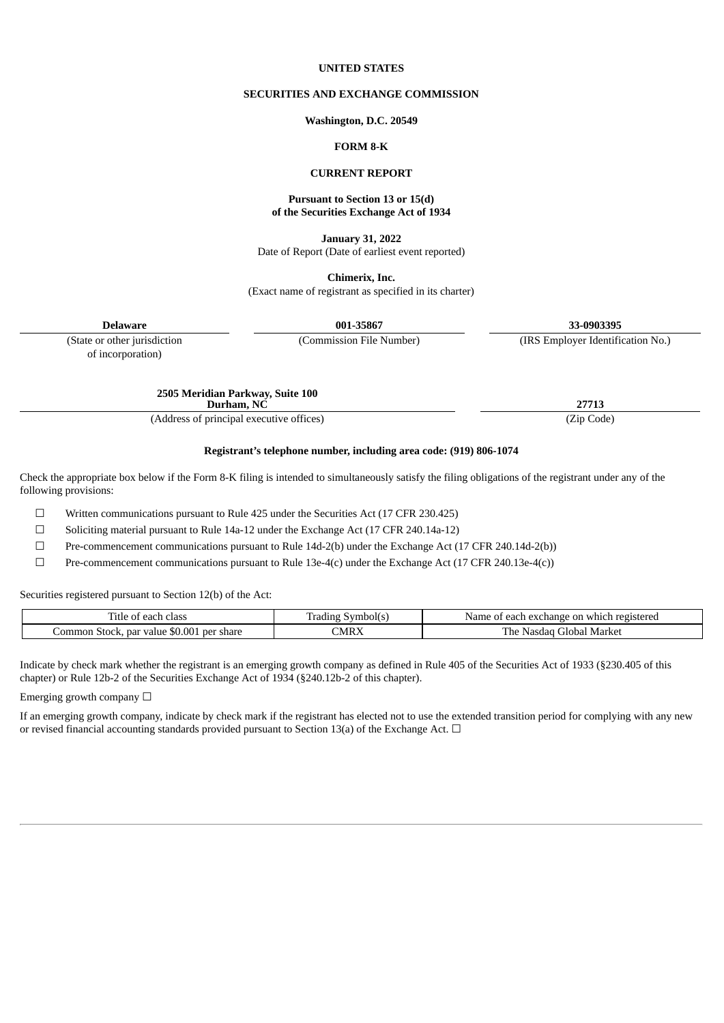#### **UNITED STATES**

### **SECURITIES AND EXCHANGE COMMISSION**

**Washington, D.C. 20549**

## **FORM 8-K**

#### **CURRENT REPORT**

#### **Pursuant to Section 13 or 15(d) of the Securities Exchange Act of 1934**

**January 31, 2022** Date of Report (Date of earliest event reported)

**Chimerix, Inc.** (Exact name of registrant as specified in its charter)

**Delaware 001-35867 33-0903395**

(State or other jurisdiction (Commission File Number) (IRS Employer Identification No.)

of incorporation)

**2505 Meridian Parkway, Suite 100 Durham,**  $N\check{C}$  **27713** 

(Address of principal executive offices) (Zip Code)

**Registrant's telephone number, including area code: (919) 806-1074**

Check the appropriate box below if the Form 8-K filing is intended to simultaneously satisfy the filing obligations of the registrant under any of the following provisions:

 $\Box$  Written communications pursuant to Rule 425 under the Securities Act (17 CFR 230.425)

☐ Soliciting material pursuant to Rule 14a-12 under the Exchange Act (17 CFR 240.14a-12)

☐ Pre-commencement communications pursuant to Rule 14d-2(b) under the Exchange Act (17 CFR 240.14d-2(b))

☐ Pre-commencement communications pursuant to Rule 13e-4(c) under the Exchange Act (17 CFR 240.13e-4(c))

Securities registered pursuant to Section 12(b) of the Act:

| class<br>each<br>l'itle of                             | Symbol(s<br>radınr. | า registered<br>Name<br>of each exchange.<br>on which - |
|--------------------------------------------------------|---------------------|---------------------------------------------------------|
| \$0.001<br>par value<br>-per share<br>ommon_<br>Stock. | CMRX                | . Market<br>r ne<br>Global<br>-Nasdac                   |

Indicate by check mark whether the registrant is an emerging growth company as defined in Rule 405 of the Securities Act of 1933 (§230.405 of this chapter) or Rule 12b-2 of the Securities Exchange Act of 1934 (§240.12b-2 of this chapter).

Emerging growth company  $\Box$ 

If an emerging growth company, indicate by check mark if the registrant has elected not to use the extended transition period for complying with any new or revised financial accounting standards provided pursuant to Section 13(a) of the Exchange Act.  $\Box$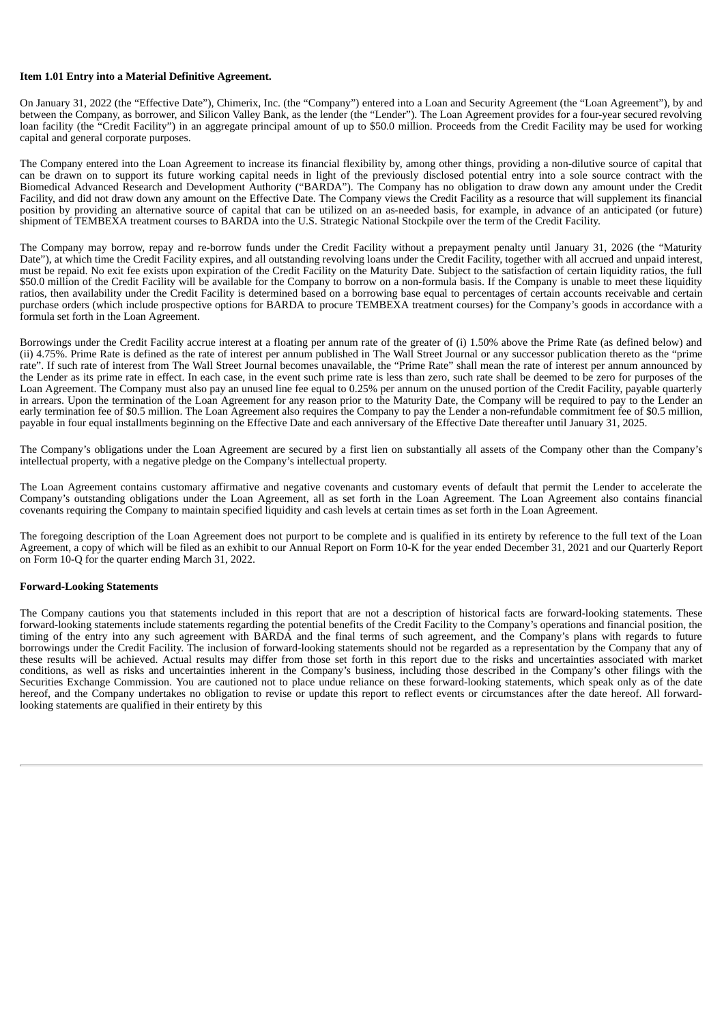### **Item 1.01 Entry into a Material Definitive Agreement.**

On January 31, 2022 (the "Effective Date"), Chimerix, Inc. (the "Company") entered into a Loan and Security Agreement (the "Loan Agreement"), by and between the Company, as borrower, and Silicon Valley Bank, as the lender (the "Lender"). The Loan Agreement provides for a four-year secured revolving loan facility (the "Credit Facility") in an aggregate principal amount of up to \$50.0 million. Proceeds from the Credit Facility may be used for working capital and general corporate purposes.

The Company entered into the Loan Agreement to increase its financial flexibility by, among other things, providing a non-dilutive source of capital that can be drawn on to support its future working capital needs in light of the previously disclosed potential entry into a sole source contract with the Biomedical Advanced Research and Development Authority ("BARDA"). The Company has no obligation to draw down any amount under the Credit Facility, and did not draw down any amount on the Effective Date. The Company views the Credit Facility as a resource that will supplement its financial position by providing an alternative source of capital that can be utilized on an as-needed basis, for example, in advance of an anticipated (or future) shipment of TEMBEXA treatment courses to BARDA into the U.S. Strategic National Stockpile over the term of the Credit Facility.

The Company may borrow, repay and re-borrow funds under the Credit Facility without a prepayment penalty until January 31, 2026 (the "Maturity Date"), at which time the Credit Facility expires, and all outstanding revolving loans under the Credit Facility, together with all accrued and unpaid interest, must be repaid. No exit fee exists upon expiration of the Credit Facility on the Maturity Date. Subject to the satisfaction of certain liquidity ratios, the full \$50.0 million of the Credit Facility will be available for the Company to borrow on a non-formula basis. If the Company is unable to meet these liquidity ratios, then availability under the Credit Facility is determined based on a borrowing base equal to percentages of certain accounts receivable and certain purchase orders (which include prospective options for BARDA to procure TEMBEXA treatment courses) for the Company's goods in accordance with a formula set forth in the Loan Agreement.

Borrowings under the Credit Facility accrue interest at a floating per annum rate of the greater of (i) 1.50% above the Prime Rate (as defined below) and (ii) 4.75%. Prime Rate is defined as the rate of interest per annum published in The Wall Street Journal or any successor publication thereto as the "prime rate". If such rate of interest from The Wall Street Journal becomes unavailable, the "Prime Rate" shall mean the rate of interest per annum announced by the Lender as its prime rate in effect. In each case, in the event such prime rate is less than zero, such rate shall be deemed to be zero for purposes of the Loan Agreement. The Company must also pay an unused line fee equal to 0.25% per annum on the unused portion of the Credit Facility, payable quarterly in arrears. Upon the termination of the Loan Agreement for any reason prior to the Maturity Date, the Company will be required to pay to the Lender an early termination fee of \$0.5 million. The Loan Agreement also requires the Company to pay the Lender a non-refundable commitment fee of \$0.5 million, payable in four equal installments beginning on the Effective Date and each anniversary of the Effective Date thereafter until January 31, 2025.

The Company's obligations under the Loan Agreement are secured by a first lien on substantially all assets of the Company other than the Company's intellectual property, with a negative pledge on the Company's intellectual property.

The Loan Agreement contains customary affirmative and negative covenants and customary events of default that permit the Lender to accelerate the Company's outstanding obligations under the Loan Agreement, all as set forth in the Loan Agreement. The Loan Agreement also contains financial covenants requiring the Company to maintain specified liquidity and cash levels at certain times as set forth in the Loan Agreement.

The foregoing description of the Loan Agreement does not purport to be complete and is qualified in its entirety by reference to the full text of the Loan Agreement, a copy of which will be filed as an exhibit to our Annual Report on Form 10-K for the year ended December 31, 2021 and our Quarterly Report on Form 10-Q for the quarter ending March 31, 2022.

#### **Forward-Looking Statements**

The Company cautions you that statements included in this report that are not a description of historical facts are forward-looking statements. These forward-looking statements include statements regarding the potential benefits of the Credit Facility to the Company's operations and financial position, the timing of the entry into any such agreement with BARDA and the final terms of such agreement, and the Company's plans with regards to future borrowings under the Credit Facility. The inclusion of forward-looking statements should not be regarded as a representation by the Company that any of these results will be achieved. Actual results may differ from those set forth in this report due to the risks and uncertainties associated with market conditions, as well as risks and uncertainties inherent in the Company's business, including those described in the Company's other filings with the Securities Exchange Commission. You are cautioned not to place undue reliance on these forward-looking statements, which speak only as of the date hereof, and the Company undertakes no obligation to revise or update this report to reflect events or circumstances after the date hereof. All forwardlooking statements are qualified in their entirety by this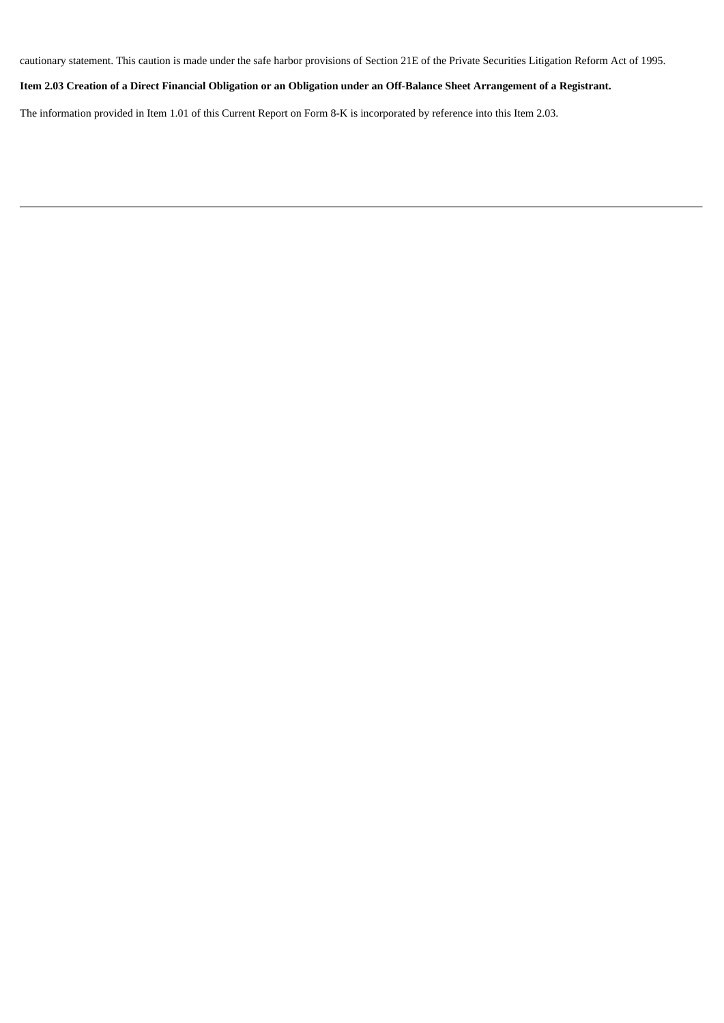cautionary statement. This caution is made under the safe harbor provisions of Section 21E of the Private Securities Litigation Reform Act of 1995.

Item 2.03 Creation of a Direct Financial Obligation or an Obligation under an Off-Balance Sheet Arrangement of a Registrant.

The information provided in Item 1.01 of this Current Report on Form 8-K is incorporated by reference into this Item 2.03.